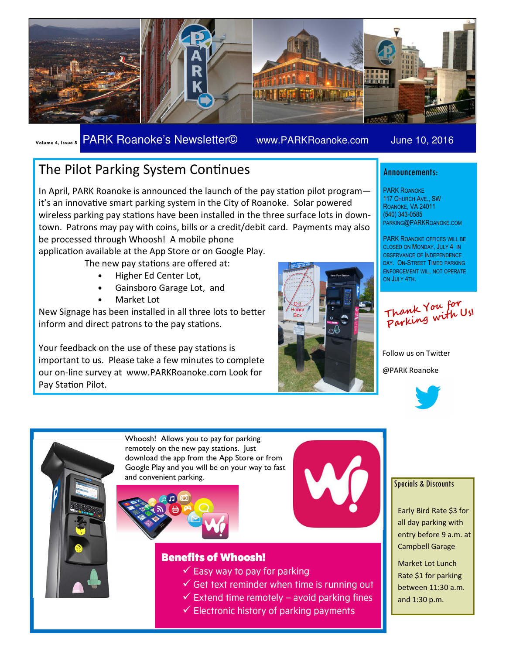

Volume 4, Issue 5 PARK Roanoke's Newsletter© www.PARKRoanoke.com June 10, 2016

PARKING@PARKROANOKE.COM PARK ROANOKE OFFICES WILL BE CLOSED ON MONDAY, JULY 4 IN OBSERVANCE OF INDEPENDENCE DAY. ON-STREET TIMED PARKING ENFORCEMENT WILL NOT OPERATE

Announcements:

PARK ROANOKE 117 CHURCH AVE., SW ROANOKE, VA 24011 (540) 343-0585

ON JULY 4TH.

## The Pilot Parking System Continues

In April, PARK Roanoke is announced the launch of the pay station pilot programit's an innovative smart parking system in the City of Roanoke. Solar powered wireless parking pay stations have been installed in the three surface lots in downtown. Patrons may pay with coins, bills or a credit/debit card. Payments may also be processed through Whoosh! A mobile phone

application available at the App Store or on Google Play.

The new pay stations are offered at:

- Higher Ed Center Lot,
- Gainsboro Garage Lot, and
- Market Lot

New Signage has been installed in all three lots to better inform and direct patrons to the pay stations.

Your feedback on the use of these pay stations is important to us. Please take a few minutes to complete our on-line survey at www.PARKRoanoke.com Look for Pay Station Pilot.





Follow us on Twitter @PARK Roanoke









### **Benefits of Whoosh!**

- $\checkmark$  Easy way to pay for parking
- $\checkmark$  Get text reminder when time is running out
- $\checkmark$  Extend time remotely avoid parking fines
- $\checkmark$  Electronic history of parking payments

#### Specials & Discounts

Early Bird Rate \$3 for all day parking with entry before 9 a.m. at Campbell Garage

Market Lot Lunch Rate \$1 for parking between 11:30 a.m. and 1:30 p.m.